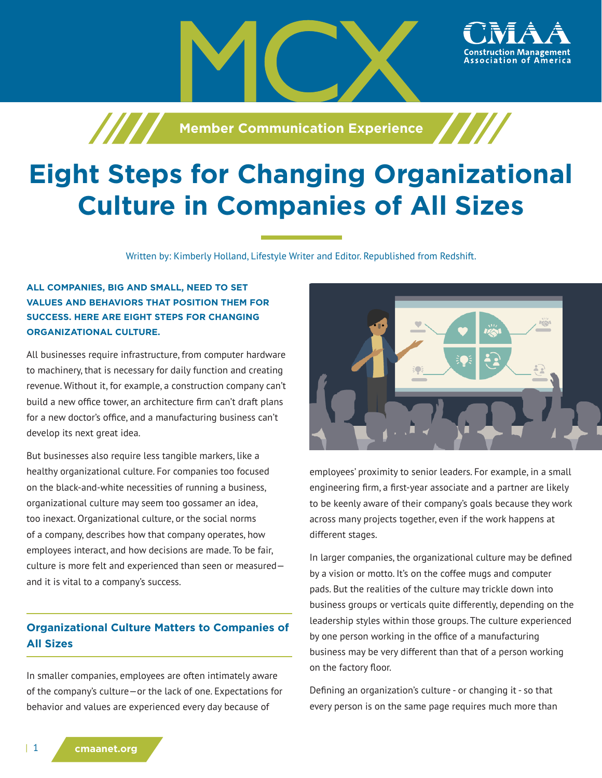

**Member Communication Experience**

# **Eight Steps for Changing Organizational Culture in Companies of All Sizes**

Written by: Kimberly Holland, Lifestyle Writer and Editor. Republished from Redshift.

# **ALL COMPANIES, BIG AND SMALL, NEED TO SET VALUES AND BEHAVIORS THAT POSITION THEM FOR SUCCESS. HERE ARE EIGHT STEPS FOR CHANGING ORGANIZATIONAL CULTURE.**

/////

All businesses require infrastructure, from computer hardware to machinery, that is necessary for daily function and creating revenue. Without it, for example, a construction company can't build a new office tower, an architecture firm can't draft plans for a new doctor's office, and a manufacturing business can't develop its next great idea.

But businesses also require less tangible markers, like a healthy organizational culture. For companies too focused on the black-and-white necessities of running a business, organizational culture may seem too gossamer an idea, too inexact. Organizational culture, or the social norms of a company, describes how that company operates, how employees interact, and how decisions are made. To be fair, culture is more felt and experienced than seen or measured and it is vital to a company's success.

# **Organizational Culture Matters to Companies of All Sizes**

In smaller companies, employees are often intimately aware of the company's culture—or the lack of one. Expectations for behavior and values are experienced every day because of



employees' proximity to senior leaders. For example, in a small engineering firm, a first-year associate and a partner are likely to be keenly aware of their company's goals because they work across many projects together, even if the work happens at different stages.

In larger companies, the organizational culture may be defined by a vision or motto. It's on the coffee mugs and computer pads. But the realities of the culture may trickle down into business groups or verticals quite differently, depending on the leadership styles within those groups. The culture experienced by one person working in the office of a manufacturing business may be very different than that of a person working on the factory floor.

Defining an organization's culture - or changing it - so that every person is on the same page requires much more than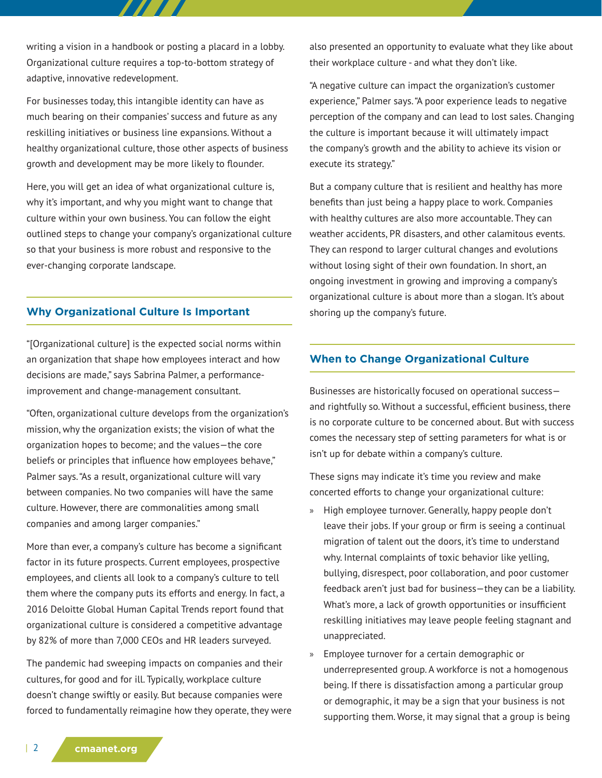writing a vision in a handbook or posting a placard in a lobby. Organizational culture requires a top-to-bottom strategy of adaptive, innovative redevelopment.

77 T T

For businesses today, this intangible identity can have as much bearing on their companies' success and future as any reskilling initiatives or business line expansions. Without a healthy organizational culture, those other aspects of business growth and development may be more likely to flounder.

Here, you will get an idea of what organizational culture is, why it's important, and why you might want to change that culture within your own business. You can follow the eight outlined steps to change your company's organizational culture so that your business is more robust and responsive to the ever-changing corporate landscape.

# **Why Organizational Culture Is Important**

"[Organizational culture] is the expected social norms within an organization that shape how employees interact and how decisions are made," says Sabrina Palmer, a performanceimprovement and change-management consultant.

"Often, organizational culture develops from the organization's mission, why the organization exists; the vision of what the organization hopes to become; and the values—the core beliefs or principles that influence how employees behave," Palmer says. "As a result, organizational culture will vary between companies. No two companies will have the same culture. However, there are commonalities among small companies and among larger companies."

More than ever, a company's culture has become a significant factor in its future prospects. Current employees, prospective employees, and clients all look to a company's culture to tell them where the company puts its efforts and energy. In fact, a 2016 Deloitte Global Human Capital Trends report found that organizational culture is considered a competitive advantage by 82% of more than 7,000 CEOs and HR leaders surveyed.

The pandemic had sweeping impacts on companies and their cultures, for good and for ill. Typically, workplace culture doesn't change swiftly or easily. But because companies were forced to fundamentally reimagine how they operate, they were also presented an opportunity to evaluate what they like about their workplace culture - and what they don't like.

"A negative culture can impact the organization's customer experience," Palmer says. "A poor experience leads to negative perception of the company and can lead to lost sales. Changing the culture is important because it will ultimately impact the company's growth and the ability to achieve its vision or execute its strategy."

But a company culture that is resilient and healthy has more benefits than just being a happy place to work. Companies with healthy cultures are also more accountable. They can weather accidents, PR disasters, and other calamitous events. They can respond to larger cultural changes and evolutions without losing sight of their own foundation. In short, an ongoing investment in growing and improving a company's organizational culture is about more than a slogan. It's about shoring up the company's future.

# **When to Change Organizational Culture**

Businesses are historically focused on operational success and rightfully so. Without a successful, efficient business, there is no corporate culture to be concerned about. But with success comes the necessary step of setting parameters for what is or isn't up for debate within a company's culture.

These signs may indicate it's time you review and make concerted efforts to change your organizational culture:

- » High employee turnover. Generally, happy people don't leave their jobs. If your group or firm is seeing a continual migration of talent out the doors, it's time to understand why. Internal complaints of toxic behavior like yelling, bullying, disrespect, poor collaboration, and poor customer feedback aren't just bad for business—they can be a liability. What's more, a lack of growth opportunities or insufficient reskilling initiatives may leave people feeling stagnant and unappreciated.
- » Employee turnover for a certain demographic or underrepresented group. A workforce is not a homogenous being. If there is dissatisfaction among a particular group or demographic, it may be a sign that your business is not supporting them. Worse, it may signal that a group is being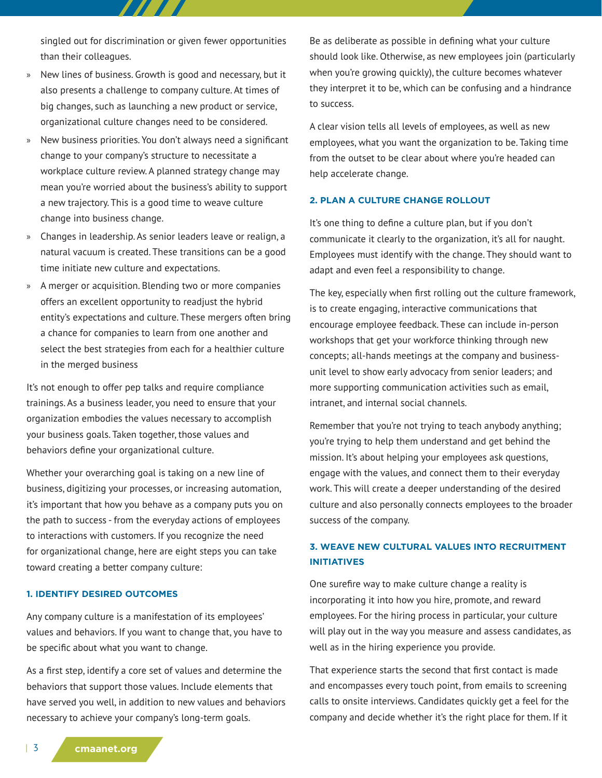singled out for discrimination or given fewer opportunities than their colleagues.

7 7 7 7 A

- » New lines of business. Growth is good and necessary, but it also presents a challenge to company culture. At times of big changes, such as launching a new product or service, organizational culture changes need to be considered.
- » New business priorities. You don't always need a significant change to your company's structure to necessitate a workplace culture review. A planned strategy change may mean you're worried about the business's ability to support a new trajectory. This is a good time to weave culture change into business change.
- » Changes in leadership. As senior leaders leave or realign, a natural vacuum is created. These transitions can be a good time initiate new culture and expectations.
- » A merger or acquisition. Blending two or more companies offers an excellent opportunity to readjust the hybrid entity's expectations and culture. These mergers often bring a chance for companies to learn from one another and select the best strategies from each for a healthier culture in the merged business

It's not enough to offer pep talks and require compliance trainings. As a business leader, you need to ensure that your organization embodies the values necessary to accomplish your business goals. Taken together, those values and behaviors define your organizational culture.

Whether your overarching goal is taking on a new line of business, digitizing your processes, or increasing automation, it's important that how you behave as a company puts you on the path to success - from the everyday actions of employees to interactions with customers. If you recognize the need for organizational change, here are eight steps you can take toward creating a better company culture:

#### **1. IDENTIFY DESIRED OUTCOMES**

Any company culture is a manifestation of its employees' values and behaviors. If you want to change that, you have to be specific about what you want to change.

As a first step, identify a core set of values and determine the behaviors that support those values. Include elements that have served you well, in addition to new values and behaviors necessary to achieve your company's long-term goals.

Be as deliberate as possible in defining what your culture should look like. Otherwise, as new employees join (particularly when you're growing quickly), the culture becomes whatever they interpret it to be, which can be confusing and a hindrance to success.

A clear vision tells all levels of employees, as well as new employees, what you want the organization to be. Taking time from the outset to be clear about where you're headed can help accelerate change.

### **2. PLAN A CULTURE CHANGE ROLLOUT**

It's one thing to define a culture plan, but if you don't communicate it clearly to the organization, it's all for naught. Employees must identify with the change. They should want to adapt and even feel a responsibility to change.

The key, especially when first rolling out the culture framework, is to create engaging, interactive communications that encourage employee feedback. These can include in-person workshops that get your workforce thinking through new concepts; all-hands meetings at the company and businessunit level to show early advocacy from senior leaders; and more supporting communication activities such as email, intranet, and internal social channels.

Remember that you're not trying to teach anybody anything; you're trying to help them understand and get behind the mission. It's about helping your employees ask questions, engage with the values, and connect them to their everyday work. This will create a deeper understanding of the desired culture and also personally connects employees to the broader success of the company.

# **3. WEAVE NEW CULTURAL VALUES INTO RECRUITMENT INITIATIVES**

One surefire way to make culture change a reality is incorporating it into how you hire, promote, and reward employees. For the hiring process in particular, your culture will play out in the way you measure and assess candidates, as well as in the hiring experience you provide.

That experience starts the second that first contact is made and encompasses every touch point, from emails to screening calls to onsite interviews. Candidates quickly get a feel for the company and decide whether it's the right place for them. If it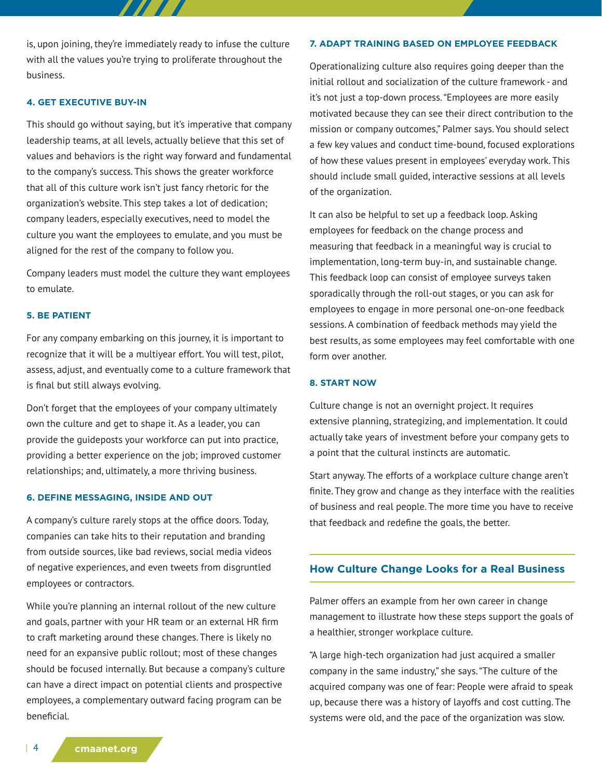is, upon joining, they're immediately ready to infuse the culture with all the values you're trying to proliferate throughout the business.

7 TETE

## **4. GET EXECUTIVE BUY-IN**

This should go without saying, but it's imperative that company leadership teams, at all levels, actually believe that this set of values and behaviors is the right way forward and fundamental to the company's success. This shows the greater workforce that all of this culture work isn't just fancy rhetoric for the organization's website. This step takes a lot of dedication; company leaders, especially executives, need to model the culture you want the employees to emulate, and you must be aligned for the rest of the company to follow you.

Company leaders must model the culture they want employees to emulate.

#### **5. BE PATIENT**

For any company embarking on this journey, it is important to recognize that it will be a multiyear effort. You will test, pilot, assess, adjust, and eventually come to a culture framework that is final but still always evolving.

Don't forget that the employees of your company ultimately own the culture and get to shape it. As a leader, you can provide the guideposts your workforce can put into practice, providing a better experience on the job; improved customer relationships; and, ultimately, a more thriving business.

#### **6. DEFINE MESSAGING, INSIDE AND OUT**

A company's culture rarely stops at the office doors. Today, companies can take hits to their reputation and branding from outside sources, like bad reviews, social media videos of negative experiences, and even tweets from disgruntled employees or contractors.

While you're planning an internal rollout of the new culture and goals, partner with your HR team or an external HR firm to craft marketing around these changes. There is likely no need for an expansive public rollout; most of these changes should be focused internally. But because a company's culture can have a direct impact on potential clients and prospective employees, a complementary outward facing program can be beneficial.

### **7. ADAPT TRAINING BASED ON EMPLOYEE FEEDBACK**

Operationalizing culture also requires going deeper than the initial rollout and socialization of the culture framework - and it's not just a top-down process. "Employees are more easily motivated because they can see their direct contribution to the mission or company outcomes," Palmer says. You should select a few key values and conduct time-bound, focused explorations of how these values present in employees' everyday work. This should include small guided, interactive sessions at all levels of the organization.

It can also be helpful to set up a feedback loop. Asking employees for feedback on the change process and measuring that feedback in a meaningful way is crucial to implementation, long-term buy-in, and sustainable change. This feedback loop can consist of employee surveys taken sporadically through the roll-out stages, or you can ask for employees to engage in more personal one-on-one feedback sessions. A combination of feedback methods may yield the best results, as some employees may feel comfortable with one form over another.

#### **8. START NOW**

Culture change is not an overnight project. It requires extensive planning, strategizing, and implementation. It could actually take years of investment before your company gets to a point that the cultural instincts are automatic.

Start anyway. The efforts of a workplace culture change aren't finite. They grow and change as they interface with the realities of business and real people. The more time you have to receive that feedback and redefine the goals, the better.

## **How Culture Change Looks for a Real Business**

Palmer offers an example from her own career in change management to illustrate how these steps support the goals of a healthier, stronger workplace culture.

"A large high-tech organization had just acquired a smaller company in the same industry," she says. "The culture of the acquired company was one of fear: People were afraid to speak up, because there was a history of layoffs and cost cutting. The systems were old, and the pace of the organization was slow.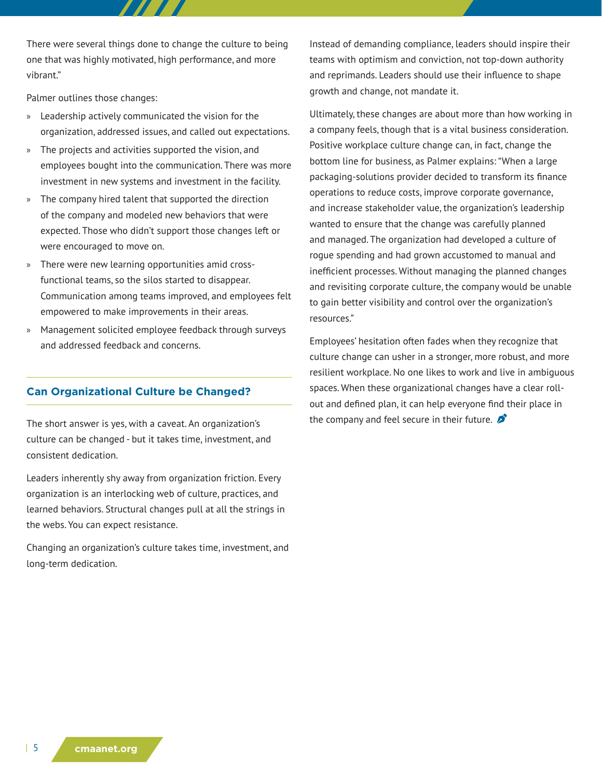There were several things done to change the culture to being one that was highly motivated, high performance, and more vibrant."

Palmer outlines those changes:

- » Leadership actively communicated the vision for the organization, addressed issues, and called out expectations.
- » The projects and activities supported the vision, and employees bought into the communication. There was more investment in new systems and investment in the facility.
- » The company hired talent that supported the direction of the company and modeled new behaviors that were expected. Those who didn't support those changes left or were encouraged to move on.
- » There were new learning opportunities amid crossfunctional teams, so the silos started to disappear. Communication among teams improved, and employees felt empowered to make improvements in their areas.
- » Management solicited employee feedback through surveys and addressed feedback and concerns.

## **Can Organizational Culture be Changed?**

The short answer is yes, with a caveat. An organization's culture can be changed - but it takes time, investment, and consistent dedication.

Leaders inherently shy away from organization friction. Every organization is an interlocking web of culture, practices, and learned behaviors. Structural changes pull at all the strings in the webs. You can expect resistance.

Changing an organization's culture takes time, investment, and long-term dedication.

Instead of demanding compliance, leaders should inspire their teams with optimism and conviction, not top-down authority and reprimands. Leaders should use their influence to shape growth and change, not mandate it.

Ultimately, these changes are about more than how working in a company feels, though that is a vital business consideration. Positive workplace culture change can, in fact, change the bottom line for business, as Palmer explains: "When a large packaging-solutions provider decided to transform its finance operations to reduce costs, improve corporate governance, and increase stakeholder value, the organization's leadership wanted to ensure that the change was carefully planned and managed. The organization had developed a culture of rogue spending and had grown accustomed to manual and inefficient processes. Without managing the planned changes and revisiting corporate culture, the company would be unable to gain better visibility and control over the organization's resources."

Employees' hesitation often fades when they recognize that culture change can usher in a stronger, more robust, and more resilient workplace. No one likes to work and live in ambiguous spaces. When these organizational changes have a clear rollout and defined plan, it can help everyone find their place in the company and feel secure in their future.  $\sum$ 

| 5 **cmaanet.org**